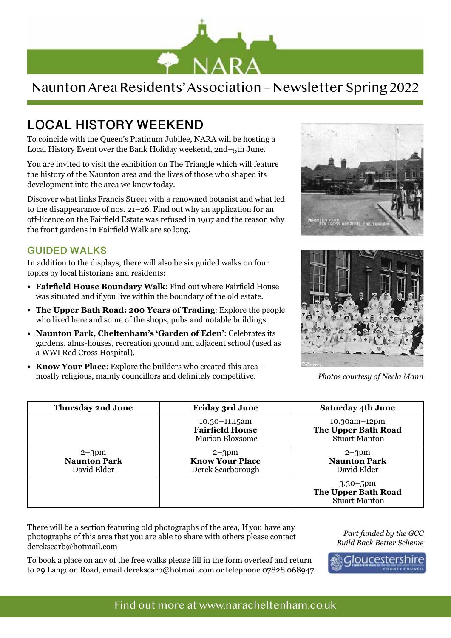

## Naunton Area Residents' Association – Newsletter Spring 2022

# **LOCAL HISTORY WEEKEND**

To coincide with the Queen's Platinum Jubilee, NARA will be hosting a Local History Event over the Bank Holiday weekend, 2nd–5th June.

You are invited to visit the exhibition on The Triangle which will feature the history of the Naunton area and the lives of those who shaped its development into the area we know today.

Discover what links Francis Street with a renowned botanist and what led to the disappearance of nos. 21–26. Find out why an application for an off-licence on the Fairfield Estate was refused in 1907 and the reason why the front gardens in Fairfield Walk are so long.

#### **GUIDED WALKS**

In addition to the displays, there will also be six guided walks on four topics by local historians and residents:

- **• Fairfield House Boundary Walk**: Find out where Fairfield House was situated and if you live within the boundary of the old estate.
- **• The Upper Bath Road: 200 Years of Trading**: Explore the people who lived here and some of the shops, pubs and notable buildings.
- **• Naunton Park, Cheltenham's 'Garden of Eden'**: Celebrates its gardens, alms-houses, recreation ground and adjacent school (used as a WWI Red Cross Hospital).
- **• Know Your Place**: Explore the builders who created this area mostly religious, mainly councillors and definitely competitive.





*Photos courtesy of Neela Mann*

| <b>Thursday 2nd June</b>                        | <b>Friday 3rd June</b>                                                 | <b>Saturday 4th June</b>                                           |
|-------------------------------------------------|------------------------------------------------------------------------|--------------------------------------------------------------------|
|                                                 | $10.30 - 11.15$ am<br><b>Fairfield House</b><br><b>Marion Bloxsome</b> | $10.30$ am $-12$ pm<br>The Upper Bath Road<br><b>Stuart Manton</b> |
| $2 - 3pm$<br><b>Naunton Park</b><br>David Elder | $2 - 3pm$<br><b>Know Your Place</b><br>Derek Scarborough               | $2 - 3pm$<br><b>Naunton Park</b><br>David Elder                    |
|                                                 |                                                                        | $3.30 - 5$ pm<br>The Upper Bath Road<br><b>Stuart Manton</b>       |

There will be a section featuring old photographs of the area, If you have any photographs of this area that you are able to share with others please contact derekscarb@hotmail.com

To book a place on any of the free walks please fill in the form overleaf and return to 29 Langdon Road, email derekscarb@hotmail.com or telephone 07828 068947.

*Part funded by the GCC Build Back Better Scheme*